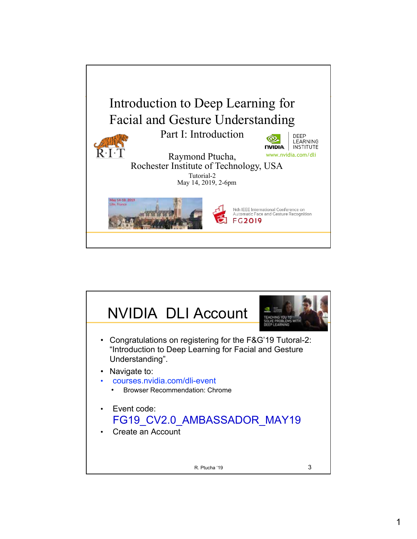

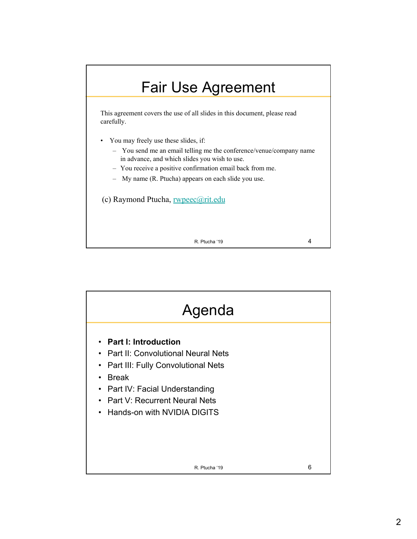## Fair Use Agreement

This agreement covers the use of all slides in this document, please read carefully.

- You may freely use these slides, if:
	- You send me an email telling me the conference/venue/company name in advance, and which slides you wish to use.
	- You receive a positive confirmation email back from me.
	- My name (R. Ptucha) appears on each slide you use.

(c) Raymond Ptucha, rwpeec@rit.edu

R. Ptucha '19 4

R. Ptucha '19 6 Agenda • **Part I: Introduction** • Part II: Convolutional Neural Nets • Part III: Fully Convolutional Nets • Break • Part IV: Facial Understanding • Part V: Recurrent Neural Nets • Hands-on with NVIDIA DIGITS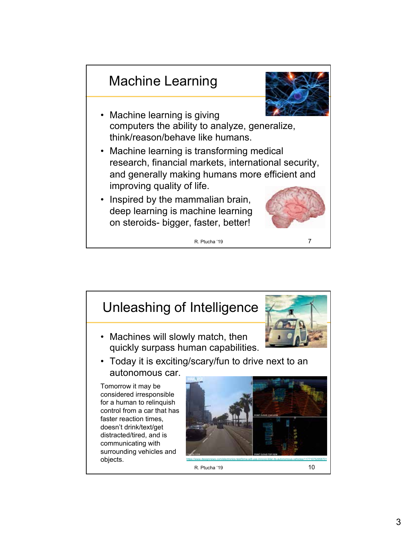## Machine Learning



- Machine learning is giving computers the ability to analyze, generalize, think/reason/behave like humans.
- Machine learning is transforming medical research, financial markets, international security, and generally making humans more efficient and improving quality of life.
- Inspired by the mammalian brain, deep learning is machine learning on steroids- bigger, faster, better!



R. Ptucha '19 7

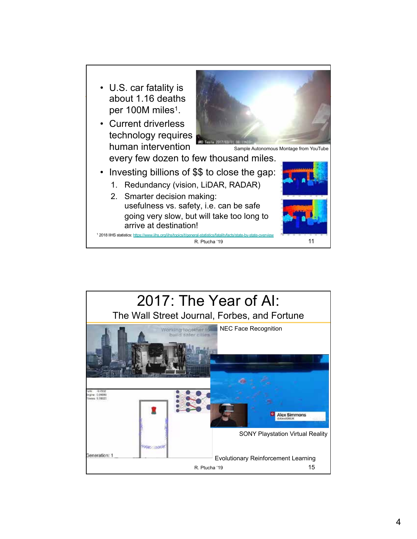

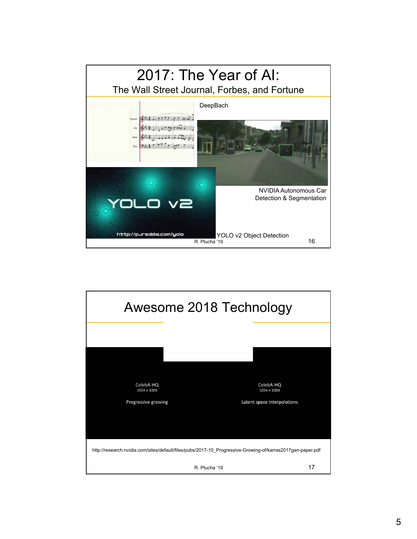

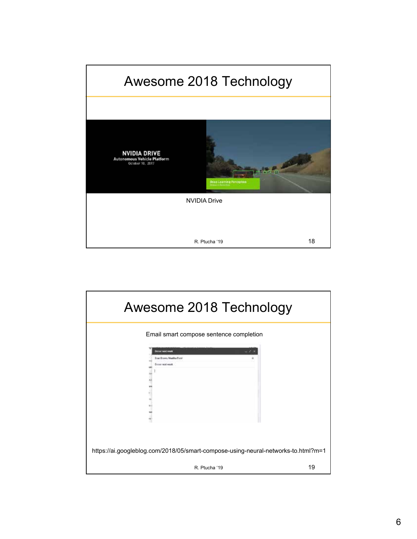

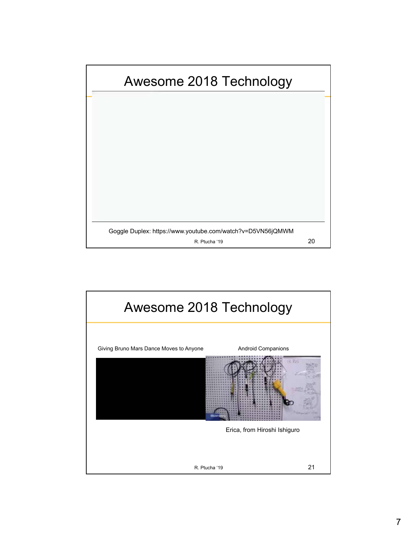

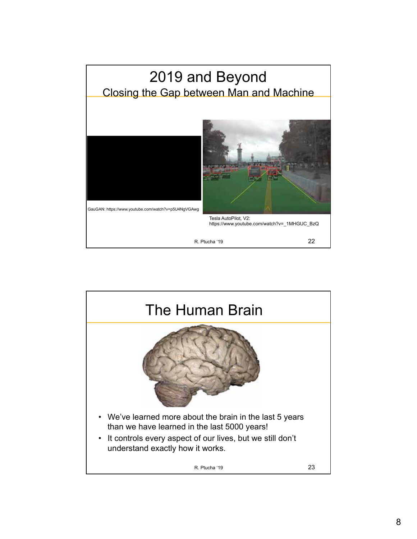

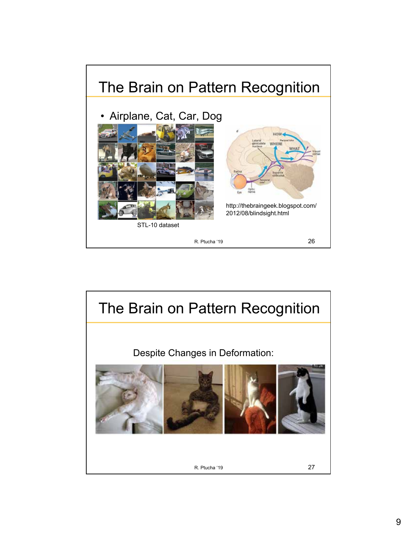

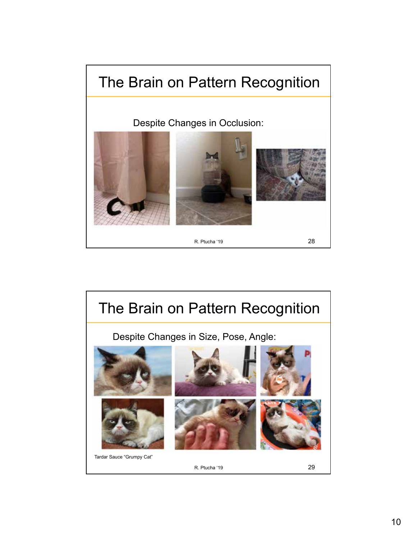

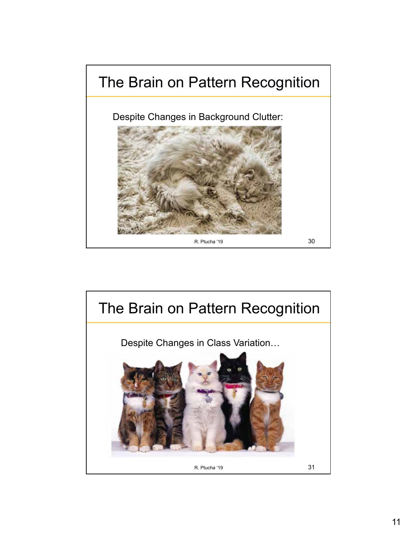

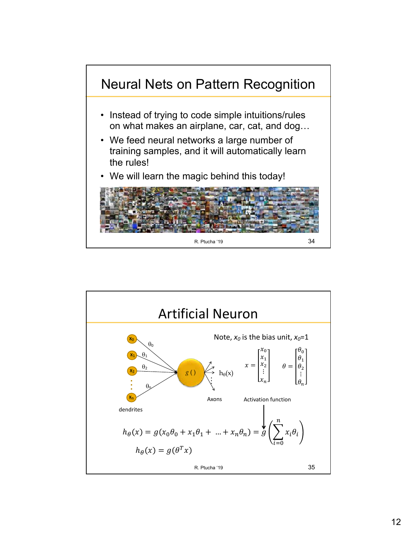

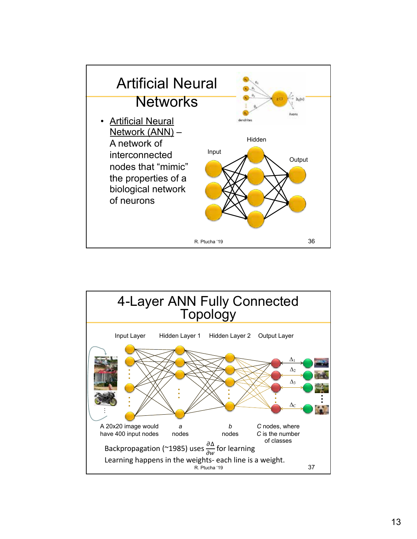

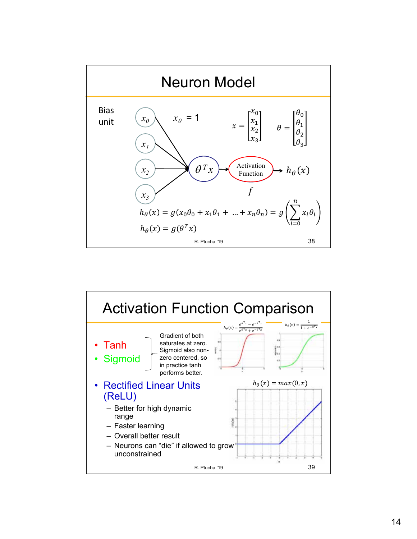

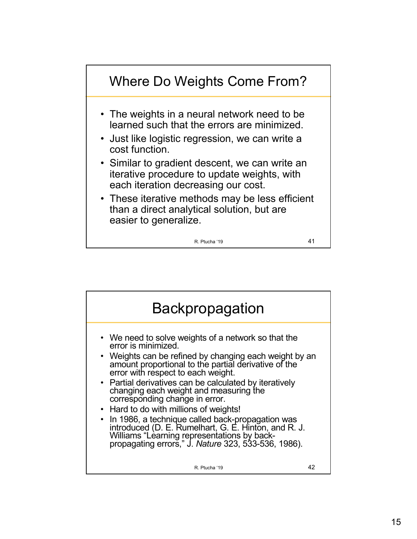

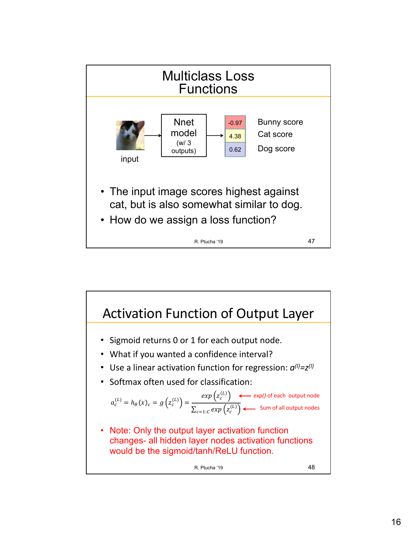

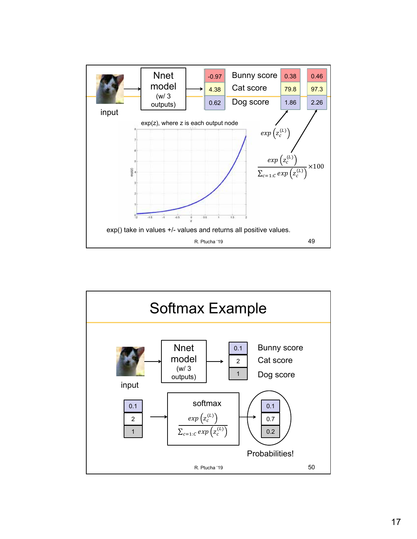

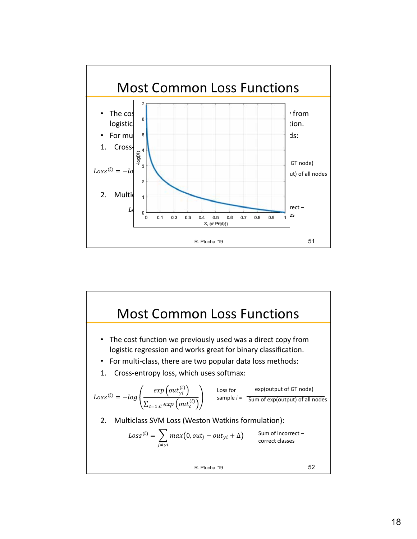

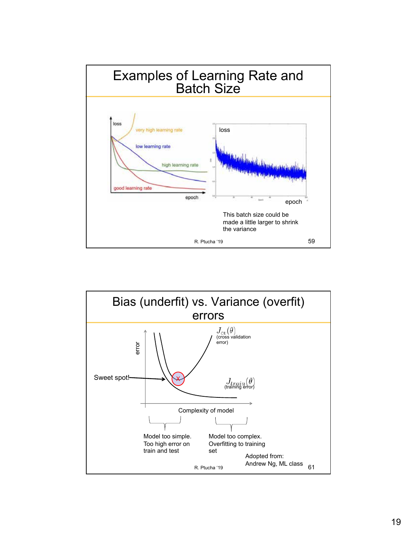